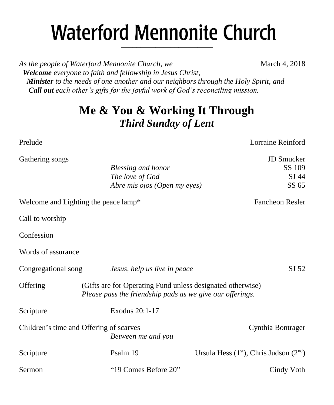# **Waterford Mennonite Church** \_\_\_\_\_\_\_\_\_\_\_\_\_\_\_\_\_\_\_\_\_\_\_\_

*As the people of Waterford Mennonite Church, we* March 4, 2018  *Welcome everyone to faith and fellowship in Jesus Christ, Minister to the needs of one another and our neighbors through the Holy Spirit, and Call out each other's gifts for the joyful work of God's reconciling mission.*

## **Me & You & Working It Through** *Third Sunday of Lent*

Gathering songs JD Smucker

Prelude Lorraine Reinford

| $\sim$              |                                                                                                                         |                                            |
|---------------------|-------------------------------------------------------------------------------------------------------------------------|--------------------------------------------|
|                     | Blessing and honor                                                                                                      | SS 109                                     |
|                     | The love of God                                                                                                         | SJ 44                                      |
|                     | Abre mis ojos (Open my eyes)                                                                                            | SS 65                                      |
|                     | Welcome and Lighting the peace lamp*                                                                                    | Fancheon Resler                            |
| Call to worship     |                                                                                                                         |                                            |
| Confession          |                                                                                                                         |                                            |
| Words of assurance  |                                                                                                                         |                                            |
| Congregational song | Jesus, help us live in peace                                                                                            | SJ 52                                      |
| Offering            | (Gifts are for Operating Fund unless designated otherwise)<br>Please pass the friendship pads as we give our offerings. |                                            |
| Scripture           | Exodus 20:1-17                                                                                                          |                                            |
|                     | Children's time and Offering of scarves<br>Between me and you                                                           | Cynthia Bontrager                          |
| Scripture           | Psalm 19                                                                                                                | Ursula Hess $(1st)$ , Chris Judson $(2nd)$ |
| Sermon              | "19 Comes Before 20"                                                                                                    | Cindy Voth                                 |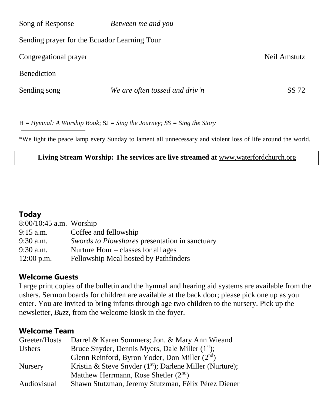| Song of Response                             | Between me and you             |              |
|----------------------------------------------|--------------------------------|--------------|
| Sending prayer for the Ecuador Learning Tour |                                |              |
| Congregational prayer                        |                                | Neil Amstutz |
| <b>Benediction</b>                           |                                |              |
| Sending song                                 | We are often tossed and driv'n | SS 72        |

H = *Hymnal: A Worship Book*; SJ = *Sing the Journey; SS = Sing the Story*

\*We light the peace lamp every Sunday to lament all unnecessary and violent loss of life around the world.

#### **Living Stream Worship: The services are live streamed at** [www.waterfordchurch.org](http://www.waterfordchurch.org/)

#### **Today**

| $8:00/10:45$ a.m. Worship |                                                |
|---------------------------|------------------------------------------------|
| $9:15$ a.m.               | Coffee and fellowship                          |
| $9:30$ a.m.               | Swords to Plowshares presentation in sanctuary |
| $9:30$ a.m.               | Nurture Hour $-\text{classes}$ for all ages    |
| $12:00$ p.m.              | Fellowship Meal hosted by Pathfinders          |

#### **Welcome Guests**

Large print copies of the bulletin and the hymnal and hearing aid systems are available from the ushers. Sermon boards for children are available at the back door; please pick one up as you enter. You are invited to bring infants through age two children to the nursery. Pick up the newsletter, *Buzz,* from the welcome kiosk in the foyer.

#### **Welcome Team**

| Greeter/Hosts  | Darrel & Karen Sommers; Jon. & Mary Ann Wieand              |
|----------------|-------------------------------------------------------------|
| <b>Ushers</b>  | Bruce Snyder, Dennis Myers, Dale Miller (1 <sup>st</sup> ); |
|                | Glenn Reinford, Byron Yoder, Don Miller $(2nd)$             |
| <b>Nursery</b> | Kristin & Steve Snyder $(1st)$ ; Darlene Miller (Nurture);  |
|                | Matthew Herrmann, Rose Shetler $(2nd)$                      |
| Audiovisual    | Shawn Stutzman, Jeremy Stutzman, Félix Pérez Diener         |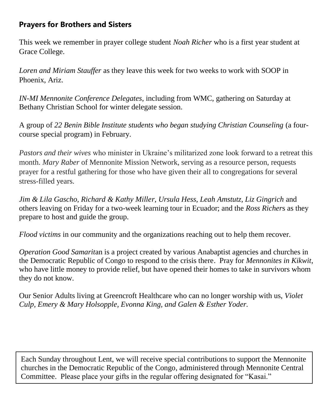## **Prayers for Brothers and Sisters**

This week we remember in prayer college student *Noah Richer* who is a first year student at Grace College.

*Loren and Miriam Stauffer* as they leave this week for two weeks to work with SOOP in Phoenix, Ariz.

*IN-MI Mennonite Conference Delegates*, including from WMC, gathering on Saturday at Bethany Christian School for winter delegate session.

A group of *22 Benin Bible Institute students who began studying Christian Counseling* (a fourcourse special program) in February.

*Pastors and their wives* who minister in Ukraine's militarized zone look forward to a retreat this month. *Mary Raber* of Mennonite Mission Network, serving as a resource person, requests prayer for a restful gathering for those who have given their all to congregations for several stress-filled years.

*Jim & Lila Gascho, Richard & Kathy Miller, Ursula Hess, Leah Amstutz, Liz Gingrich* and others leaving on Friday for a two-week learning tour in Ecuador; and the *Ross Richer*s as they prepare to host and guide the group.

*Flood victims* in our community and the organizations reaching out to help them recover.

*Operation Good Samarit*an is a project created by various Anabaptist agencies and churches in the Democratic Republic of Congo to respond to the crisis there. Pray for *Mennonites in Kikwit*, who have little money to provide relief, but have opened their homes to take in survivors whom they do not know.

Our Senior Adults living at Greencroft Healthcare who can no longer worship with us, *Violet Culp, Emery & Mary Holsopple, Evonna King, and Galen & Esther Yoder.*

Each Sunday throughout Lent, we will receive special contributions to support the Mennonite churches in the Democratic Republic of the Congo, administered through Mennonite Central Committee. Please place your gifts in the regular offering designated for "Kasai."